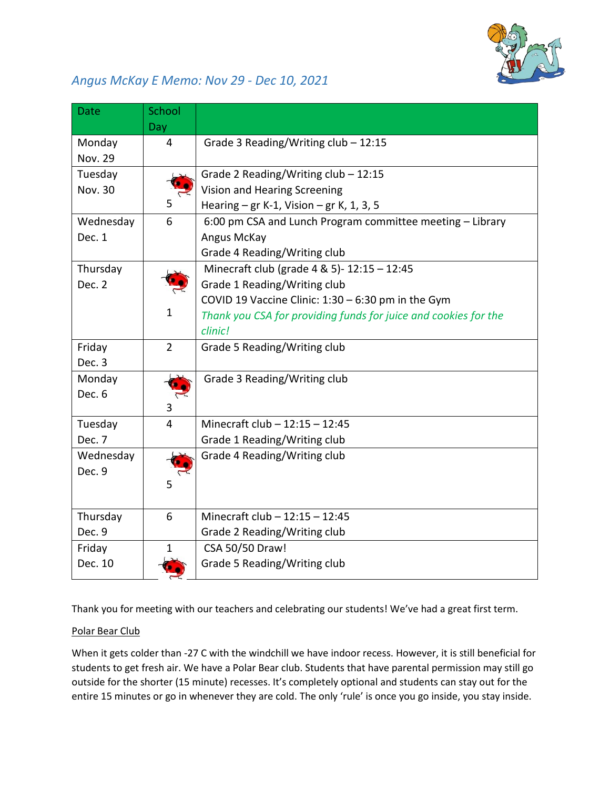

## *Angus McKay E Memo: Nov 29 - Dec 10, 2021*

| <b>Date</b>              | School<br>Day  |                                                                 |
|--------------------------|----------------|-----------------------------------------------------------------|
| Monday<br><b>Nov. 29</b> | $\overline{4}$ | Grade 3 Reading/Writing $club - 12:15$                          |
| Tuesday                  |                | Grade 2 Reading/Writing $club - 12:15$                          |
| Nov. 30                  |                | Vision and Hearing Screening                                    |
|                          | 5.             | Hearing $-$ gr K-1, Vision $-$ gr K, 1, 3, 5                    |
| Wednesday                | 6              | 6:00 pm CSA and Lunch Program committee meeting - Library       |
| Dec. 1                   |                | Angus McKay                                                     |
|                          |                | Grade 4 Reading/Writing club                                    |
| Thursday                 |                | Minecraft club (grade 4 & 5)- 12:15 - 12:45                     |
| Dec. 2                   |                | Grade 1 Reading/Writing club                                    |
|                          |                | COVID 19 Vaccine Clinic: 1:30 - 6:30 pm in the Gym              |
|                          | $\mathbf{1}$   | Thank you CSA for providing funds for juice and cookies for the |
|                          |                | clinic!                                                         |
| Friday                   | $\overline{2}$ | Grade 5 Reading/Writing club                                    |
| Dec. 3                   |                |                                                                 |
| Monday                   |                | Grade 3 Reading/Writing club                                    |
| Dec. 6                   |                |                                                                 |
|                          | 3              |                                                                 |
| Tuesday                  | $\overline{4}$ | Minecraft club $- 12:15 - 12:45$                                |
| Dec. 7                   |                | Grade 1 Reading/Writing club                                    |
| Wednesday                |                | Grade 4 Reading/Writing club                                    |
| Dec. 9                   |                |                                                                 |
|                          | 5              |                                                                 |
| Thursday                 | 6              | Minecraft club - 12:15 - 12:45                                  |
| Dec. 9                   |                | Grade 2 Reading/Writing club                                    |
| Friday                   | 1.             | CSA 50/50 Draw!                                                 |
| Dec. 10                  |                | Grade 5 Reading/Writing club                                    |

Thank you for me[et](http://www.dailyclipart.net/clipart/ladybug-clip-art/)[ing w](https://creativecommons.org/licenses/by-nd/3.0/)ith our teachers and celebrating our students! We've had a great first term.

## Polar Bear Club

When it gets colder than -27 C with the windchill we have indoor recess. However, it is still beneficial for students to get fres[h air.](https://creativecommons.org/licenses/by-nd/3.0/) We have a Polar Bear club. Students that have parental permission may still go outside for the shorter (15 minute) recesses. It's completely optional and students can stay out for the entire 15 minutes o[r go](https://creativecommons.org/licenses/by-nd/3.0/) in whenever they are cold. The only 'rule' is once you go inside, you stay inside.